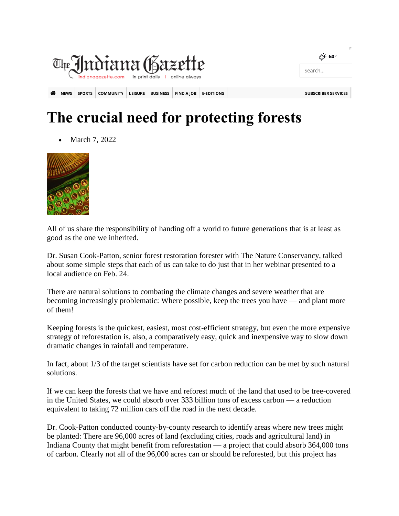

## **The crucial need for protecting forests**

March 7, 2022



All of us share the responsibility of handing off a world to future generations that is at least as good as the one we inherited.

Dr. Susan Cook-Patton, senior forest restoration forester with The Nature Conservancy, talked about some simple steps that each of us can take to do just that in her webinar presented to a local audience on Feb. 24.

There are natural solutions to combating the climate changes and severe weather that are becoming increasingly problematic: Where possible, keep the trees you have — and plant more of them!

Keeping forests is the quickest, easiest, most cost-efficient strategy, but even the more expensive strategy of reforestation is, also, a comparatively easy, quick and inexpensive way to slow down dramatic changes in rainfall and temperature.

In fact, about 1/3 of the target scientists have set for carbon reduction can be met by such natural solutions.

If we can keep the forests that we have and reforest much of the land that used to be tree-covered in the United States, we could absorb over 333 billion tons of excess carbon — a reduction equivalent to taking 72 million cars off the road in the next decade.

Dr. Cook-Patton conducted county-by-county research to identify areas where new trees might be planted: There are 96,000 acres of land (excluding cities, roads and agricultural land) in Indiana County that might benefit from reforestation — a project that could absorb 364,000 tons of carbon. Clearly not all of the 96,000 acres can or should be reforested, but this project has